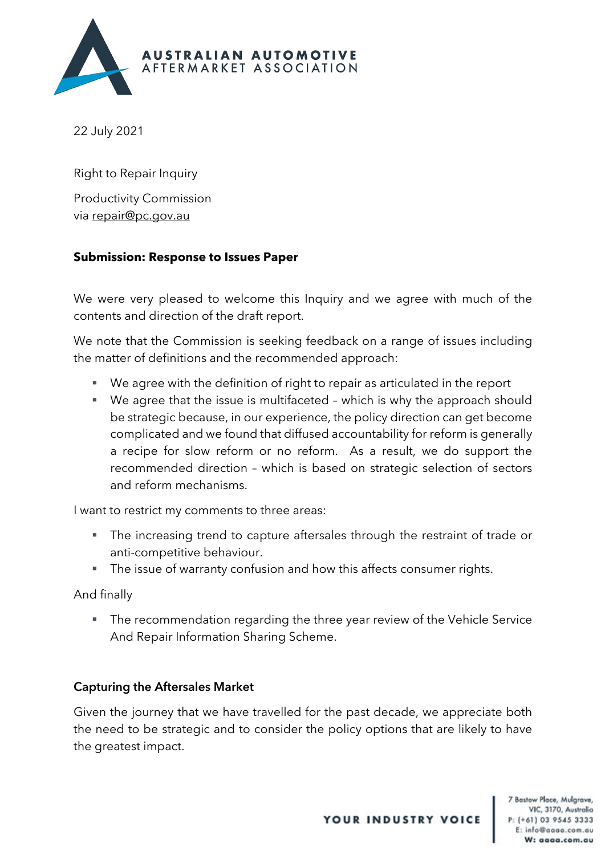

22 July 2021

Right to Repair Inquiry Productivity Commission via repair@pc.gov.au

## **Submission: Response to Issues Paper**

We were very pleased to welcome this Inquiry and we agree with much of the contents and direction of the draft report.

We note that the Commission is seeking feedback on a range of issues including the matter of definitions and the recommended approach:

- We agree with the definition of right to repair as articulated in the report
- We agree that the issue is multifaceted which is why the approach should be strategic because, in our experience, the policy direction can get become complicated and we found that diffused accountability for reform is generally a recipe for slow reform or no reform. As a result, we do support the recommended direction – which is based on strategic selection of sectors and reform mechanisms.

I want to restrict my comments to three areas:

- The increasing trend to capture aftersales through the restraint of trade or anti-competitive behaviour.
- The issue of warranty confusion and how this affects consumer rights.

And finally

• The recommendation regarding the three year review of the Vehicle Service And Repair Information Sharing Scheme.

## Capturing the Aftersales Market

Given the journey that we have travelled for the past decade, we appreciate both the need to be strategic and to consider the policy options that are likely to have the greatest impact.

**YOUR INDUSTRY VOICE**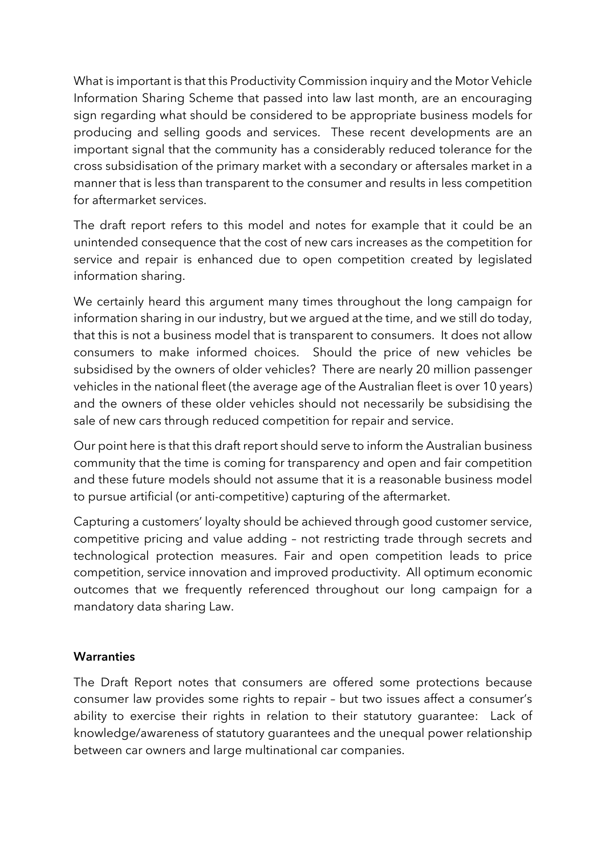What is important is that this Productivity Commission inquiry and the Motor Vehicle Information Sharing Scheme that passed into law last month, are an encouraging sign regarding what should be considered to be appropriate business models for producing and selling goods and services. These recent developments are an important signal that the community has a considerably reduced tolerance for the cross subsidisation of the primary market with a secondary or aftersales market in a manner that is less than transparent to the consumer and results in less competition for aftermarket services.

The draft report refers to this model and notes for example that it could be an unintended consequence that the cost of new cars increases as the competition for service and repair is enhanced due to open competition created by legislated information sharing.

We certainly heard this argument many times throughout the long campaign for information sharing in our industry, but we argued at the time, and we still do today, that this is not a business model that is transparent to consumers. It does not allow consumers to make informed choices. Should the price of new vehicles be subsidised by the owners of older vehicles? There are nearly 20 million passenger vehicles in the national fleet (the average age of the Australian fleet is over 10 years) and the owners of these older vehicles should not necessarily be subsidising the sale of new cars through reduced competition for repair and service.

Our point here is that this draft report should serve to inform the Australian business community that the time is coming for transparency and open and fair competition and these future models should not assume that it is a reasonable business model to pursue artificial (or anti-competitive) capturing of the aftermarket.

Capturing a customers' loyalty should be achieved through good customer service, competitive pricing and value adding – not restricting trade through secrets and technological protection measures. Fair and open competition leads to price competition, service innovation and improved productivity. All optimum economic outcomes that we frequently referenced throughout our long campaign for a mandatory data sharing Law.

## **Warranties**

 ability to exercise their rights in relation to their statutory guarantee: Lack of The Draft Report notes that consumers are offered some protections because consumer law provides some rights to repair – but two issues affect a consumer's knowledge/awareness of statutory guarantees and the unequal power relationship between car owners and large multinational car companies.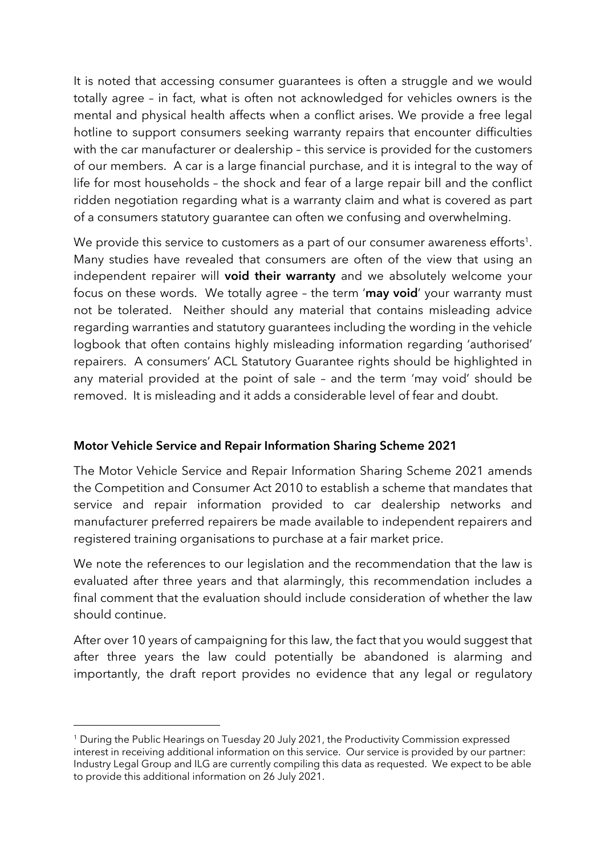It is noted that accessing consumer guarantees is often a struggle and we would totally agree – in fact, what is often not acknowledged for vehicles owners is the mental and physical health affects when a conflict arises. We provide a free legal hotline to support consumers seeking warranty repairs that encounter difficulties with the car manufacturer or dealership – this service is provided for the customers of our members. A car is a large financial purchase, and it is integral to the way of life for most households – the shock and fear of a large repair bill and the conflict ridden negotiation regarding what is a warranty claim and what is covered as part of a consumers statutory guarantee can often we confusing and overwhelming.

focus on these words. We totally agree - the term '**may void**' your warranty must repairers. A consumers' ACL Statutory Guarantee rights should be highlighted in We provide this service to customers as a part of our consumer awareness efforts<sup>1</sup>. Many studies have revealed that consumers are often of the view that using an independent repairer will void their warranty and we absolutely welcome your not be tolerated. Neither should any material that contains misleading advice regarding warranties and statutory guarantees including the wording in the vehicle logbook that often contains highly misleading information regarding 'authorised' any material provided at the point of sale – and the term 'may void' should be removed. It is misleading and it adds a considerable level of fear and doubt.

## Motor Vehicle Service and Repair Information Sharing Scheme 2021

The Motor Vehicle Service and Repair Information Sharing Scheme 2021 amends the Competition and Consumer Act 2010 to establish a scheme that mandates that service and repair information provided to car dealership networks and manufacturer preferred repairers be made available to independent repairers and registered training organisations to purchase at a fair market price.

We note the references to our legislation and the recommendation that the law is evaluated after three years and that alarmingly, this recommendation includes a final comment that the evaluation should include consideration of whether the law should continue.

After over 10 years of campaigning for this law, the fact that you would suggest that after three years the law could potentially be abandoned is alarming and importantly, the draft report provides no evidence that any legal or regulatory

 <sup>1</sup> During the Public Hearings on Tuesday 20 July 2021, the Productivity Commission expressed interest in receiving additional information on this service. Our service is provided by our partner: to provide this additional information on 26 July 2021. Industry Legal Group and ILG are currently compiling this data as requested. We expect to be able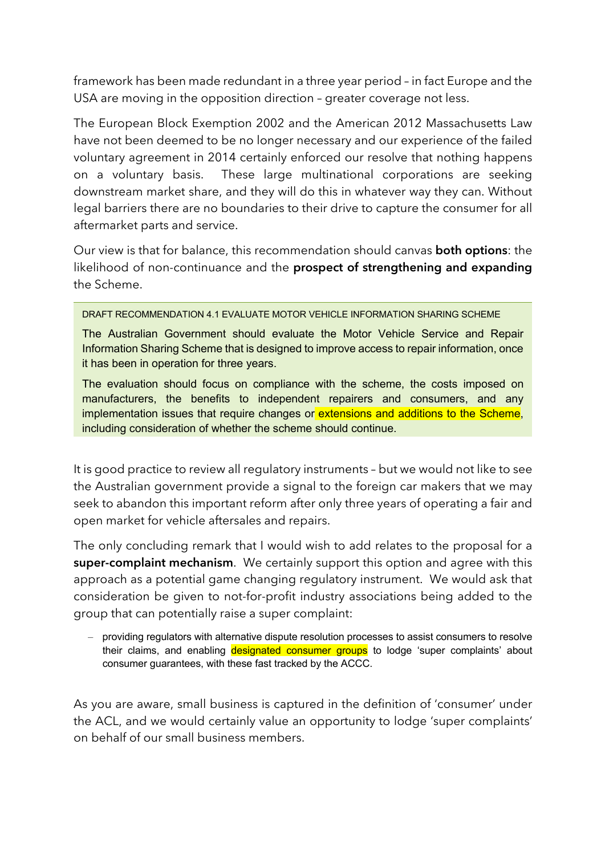framework has been made redundant in a three year period – in fact Europe and the USA are moving in the opposition direction – greater coverage not less.

The European Block Exemption 2002 and the American 2012 Massachusetts Law have not been deemed to be no longer necessary and our experience of the failed voluntary agreement in 2014 certainly enforced our resolve that nothing happens on a voluntary basis. These large multinational corporations are seeking downstream market share, and they will do this in whatever way they can. Without legal barriers there are no boundaries to their drive to capture the consumer for all aftermarket parts and service.

Our view is that for balance, this recommendation should canvas both options: the likelihood of non-continuance and the **prospect of strengthening and expanding** the Scheme.

DRAFT RECOMMENDATION 4.1 EVALUATE MOTOR VEHICLE INFORMATION SHARING SCHEME

 The Australian Government should evaluate the Motor Vehicle Service and Repair Information Sharing Scheme that is designed to improve access to repair information, once it has been in operation for three years.

 The evaluation should focus on compliance with the scheme, the costs imposed on manufacturers, the benefits to independent repairers and consumers, and any implementation issues that require changes or extensions and additions to the Scheme, including consideration of whether the scheme should continue.

It is good practice to review all regulatory instruments – but we would not like to see the Australian government provide a signal to the foreign car makers that we may seek to abandon this important reform after only three years of operating a fair and open market for vehicle aftersales and repairs.

 approach as a potential game changing regulatory instrument. We would ask that The only concluding remark that I would wish to add relates to the proposal for a super-complaint mechanism. We certainly support this option and agree with this consideration be given to not-for-profit industry associations being added to the group that can potentially raise a super complaint:

their claims, and enabling designated consumer groups to lodge 'super complaints' about – providing regulators with alternative dispute resolution processes to assist consumers to resolve consumer guarantees, with these fast tracked by the ACCC.

As you are aware, small business is captured in the definition of 'consumer' under the ACL, and we would certainly value an opportunity to lodge 'super complaints' on behalf of our small business members.